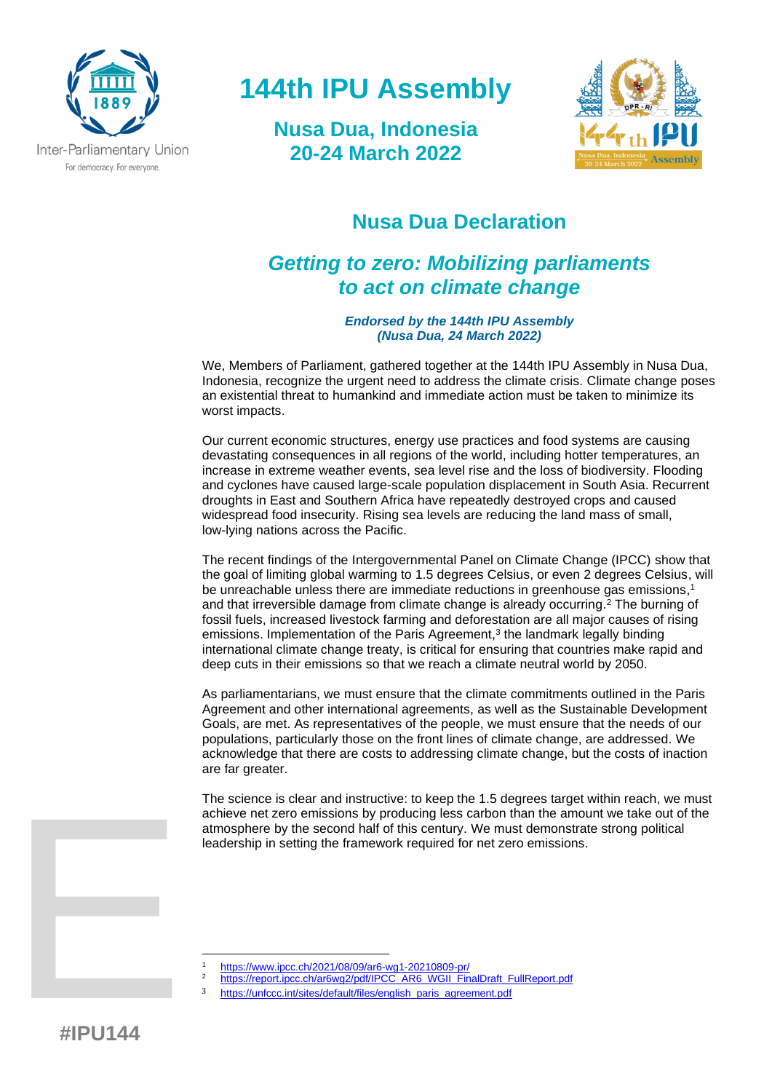

# **144th IPU Assembly**

**Nusa Dua, Indonesia 20-24 March 2022**



### **Nusa Dua Declaration**

## *Getting to zero: Mobilizing parliaments to act on climate change*

*Endorsed by the 144th IPU Assembly (Nusa Dua, 24 March 2022)*

We, Members of Parliament, gathered together at the 144th IPU Assembly in Nusa Dua, Indonesia, recognize the urgent need to address the climate crisis. Climate change poses an existential threat to humankind and immediate action must be taken to minimize its worst impacts.

Our current economic structures, energy use practices and food systems are causing devastating consequences in all regions of the world, including hotter temperatures, an increase in extreme weather events, sea level rise and the loss of biodiversity. Flooding and cyclones have caused large-scale population displacement in South Asia. Recurrent droughts in East and Southern Africa have repeatedly destroyed crops and caused widespread food insecurity. Rising sea levels are reducing the land mass of small, low-lying nations across the Pacific.

The recent findings of the Intergovernmental Panel on Climate Change (IPCC) show that the goal of limiting global warming to 1.5 degrees Celsius, or even 2 degrees Celsius, will be unreachable unless there are immediate reductions in greenhouse gas emissions, 1 and that irreversible damage from climate change is already occurring. <sup>2</sup> The burning of fossil fuels, increased livestock farming and deforestation are all major causes of rising emissions. Implementation of the Paris Agreement, 3 the landmark legally binding international climate change treaty, is critical for ensuring that countries make rapid and deep cuts in their emissions so that we reach a climate neutral world by 2050.

As parliamentarians, we must ensure that the climate commitments outlined in the Paris Agreement and other international agreements, as well as the Sustainable Development Goals, are met. As representatives of the people, we must ensure that the needs of our populations, particularly those on the front lines of climate change, are addressed. We acknowledge that there are costs to addressing climate change, but the costs of inaction are far greater.

The science is clear and instructive: to keep the 1.5 degrees target within reach, we must achieve net zero emissions by producing less carbon than the amount we take out of the atmosphere by the second half of this century. We must demonstrate strong political leadership in setting the framework required for net zero emissions.

- <sup>1</sup> <https://www.ipcc.ch/2021/08/09/ar6-wg1-20210809-pr/>
	- [https://report.ipcc.ch/ar6wg2/pdf/IPCC\\_AR6\\_WGII\\_FinalDraft\\_FullReport.pdf](https://report.ipcc.ch/ar6wg2/pdf/IPCC_AR6_WGII_FinalDraft_FullReport.pdf)
- <sup>3</sup> [https://unfccc.int/sites/default/files/english\\_paris\\_agreement.pdf](https://unfccc.int/sites/default/files/english_paris_agreement.pdf)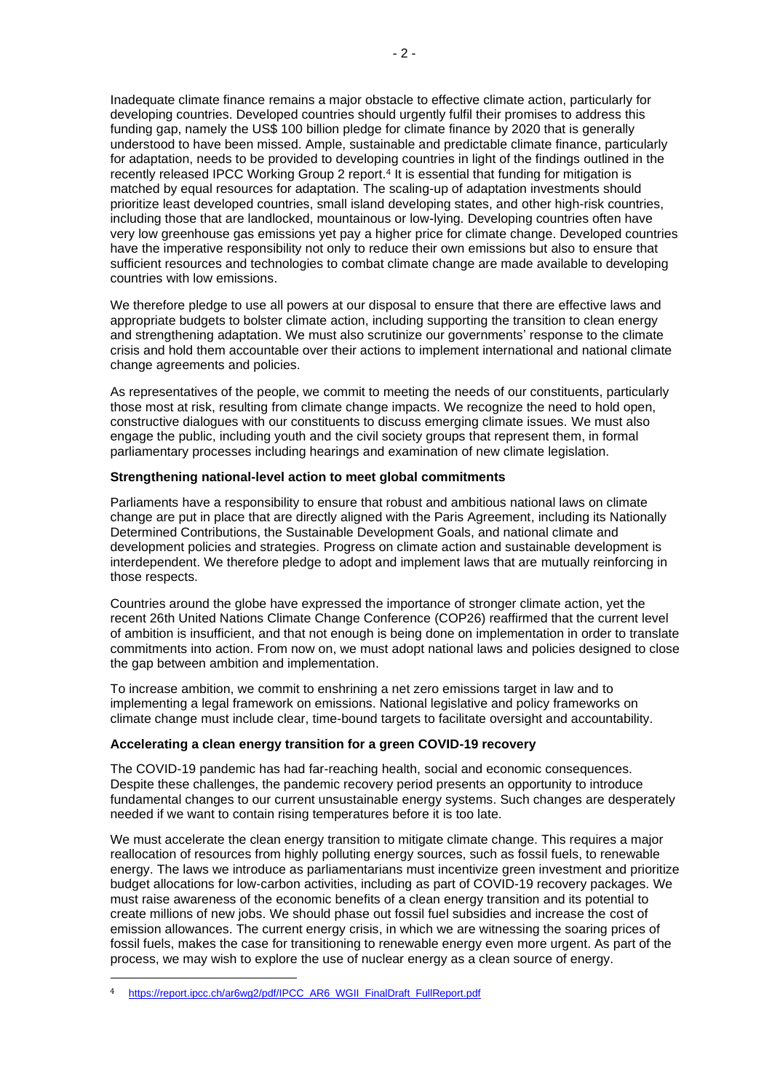Inadequate climate finance remains a major obstacle to effective climate action, particularly for developing countries. Developed countries should urgently fulfil their promises to address this funding gap, namely the US\$ 100 billion pledge for climate finance by 2020 that is generally understood to have been missed. Ample, sustainable and predictable climate finance, particularly for adaptation, needs to be provided to developing countries in light of the findings outlined in the recently released IPCC Working Group 2 report.<sup>4</sup> It is essential that funding for mitigation is matched by equal resources for adaptation. The scaling-up of adaptation investments should prioritize least developed countries, small island developing states, and other high-risk countries, including those that are landlocked, mountainous or low-lying. Developing countries often have very low greenhouse gas emissions yet pay a higher price for climate change. Developed countries have the imperative responsibility not only to reduce their own emissions but also to ensure that sufficient resources and technologies to combat climate change are made available to developing countries with low emissions.

We therefore pledge to use all powers at our disposal to ensure that there are effective laws and appropriate budgets to bolster climate action, including supporting the transition to clean energy and strengthening adaptation. We must also scrutinize our governments' response to the climate crisis and hold them accountable over their actions to implement international and national climate change agreements and policies.

As representatives of the people, we commit to meeting the needs of our constituents, particularly those most at risk, resulting from climate change impacts. We recognize the need to hold open, constructive dialogues with our constituents to discuss emerging climate issues. We must also engage the public, including youth and the civil society groups that represent them, in formal parliamentary processes including hearings and examination of new climate legislation.

#### **Strengthening national-level action to meet global commitments**

Parliaments have a responsibility to ensure that robust and ambitious national laws on climate change are put in place that are directly aligned with the Paris Agreement, including its Nationally Determined Contributions, the Sustainable Development Goals, and national climate and development policies and strategies. Progress on climate action and sustainable development is interdependent. We therefore pledge to adopt and implement laws that are mutually reinforcing in those respects.

Countries around the globe have expressed the importance of stronger climate action, yet the recent 26th United Nations Climate Change Conference (COP26) reaffirmed that the current level of ambition is insufficient, and that not enough is being done on implementation in order to translate commitments into action. From now on, we must adopt national laws and policies designed to close the gap between ambition and implementation.

To increase ambition, we commit to enshrining a net zero emissions target in law and to implementing a legal framework on emissions. National legislative and policy frameworks on climate change must include clear, time-bound targets to facilitate oversight and accountability.

#### **Accelerating a clean energy transition for a green COVID-19 recovery**

The COVID-19 pandemic has had far-reaching health, social and economic consequences. Despite these challenges, the pandemic recovery period presents an opportunity to introduce fundamental changes to our current unsustainable energy systems. Such changes are desperately needed if we want to contain rising temperatures before it is too late.

We must accelerate the clean energy transition to mitigate climate change. This requires a major reallocation of resources from highly polluting energy sources, such as fossil fuels, to renewable energy. The laws we introduce as parliamentarians must incentivize green investment and prioritize budget allocations for low-carbon activities, including as part of COVID-19 recovery packages. We must raise awareness of the economic benefits of a clean energy transition and its potential to create millions of new jobs. We should phase out fossil fuel subsidies and increase the cost of emission allowances. The current energy crisis, in which we are witnessing the soaring prices of fossil fuels, makes the case for transitioning to renewable energy even more urgent. As part of the process, we may wish to explore the use of nuclear energy as a clean source of energy.

<sup>4</sup> [https://report.ipcc.ch/ar6wg2/pdf/IPCC\\_AR6\\_WGII\\_FinalDraft\\_FullReport.pdf](https://report.ipcc.ch/ar6wg2/pdf/IPCC_AR6_WGII_FinalDraft_FullReport.pdf)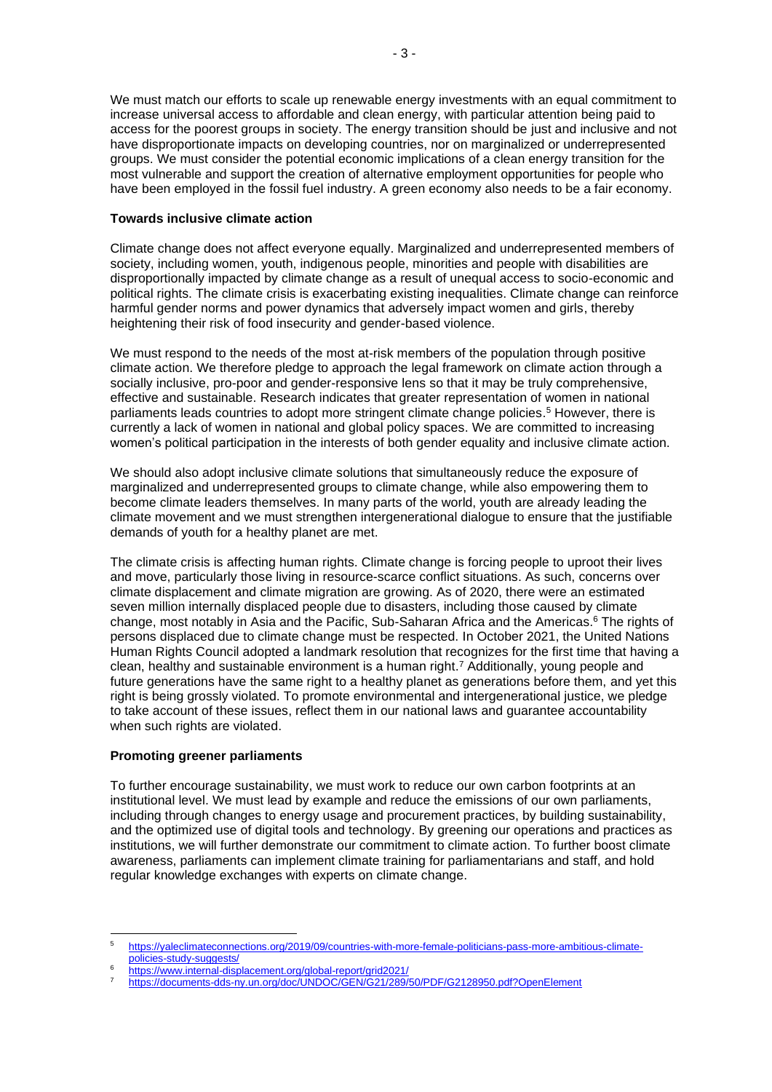We must match our efforts to scale up renewable energy investments with an equal commitment to increase universal access to affordable and clean energy, with particular attention being paid to access for the poorest groups in society. The energy transition should be just and inclusive and not have disproportionate impacts on developing countries, nor on marginalized or underrepresented groups. We must consider the potential economic implications of a clean energy transition for the most vulnerable and support the creation of alternative employment opportunities for people who have been employed in the fossil fuel industry. A green economy also needs to be a fair economy.

#### **Towards inclusive climate action**

Climate change does not affect everyone equally. Marginalized and underrepresented members of society, including women, youth, indigenous people, minorities and people with disabilities are disproportionally impacted by climate change as a result of unequal access to socio-economic and political rights. The climate crisis is exacerbating existing inequalities. Climate change can reinforce harmful gender norms and power dynamics that adversely impact women and girls, thereby heightening their risk of food insecurity and gender-based violence.

We must respond to the needs of the most at-risk members of the population through positive climate action. We therefore pledge to approach the legal framework on climate action through a socially inclusive, pro-poor and gender-responsive lens so that it may be truly comprehensive, effective and sustainable. Research indicates that greater representation of women in national parliaments leads countries to adopt more stringent climate change policies. <sup>5</sup> However, there is currently a lack of women in national and global policy spaces. We are committed to increasing women's political participation in the interests of both gender equality and inclusive climate action.

We should also adopt inclusive climate solutions that simultaneously reduce the exposure of marginalized and underrepresented groups to climate change, while also empowering them to become climate leaders themselves. In many parts of the world, youth are already leading the climate movement and we must strengthen intergenerational dialogue to ensure that the justifiable demands of youth for a healthy planet are met.

The climate crisis is affecting human rights. Climate change is forcing people to uproot their lives and move, particularly those living in resource-scarce conflict situations. As such, concerns over climate displacement and climate migration are growing. As of 2020, there were an estimated seven million internally displaced people due to disasters, including those caused by climate change, most notably in Asia and the Pacific, Sub-Saharan Africa and the Americas. <sup>6</sup> The rights of persons displaced due to climate change must be respected. In October 2021, the United Nations Human Rights Council adopted a landmark resolution that recognizes for the first time that having a clean, healthy and sustainable environment is a human right. <sup>7</sup> Additionally, young people and future generations have the same right to a healthy planet as generations before them, and yet this right is being grossly violated. To promote environmental and intergenerational justice, we pledge to take account of these issues, reflect them in our national laws and guarantee accountability when such rights are violated.

### **Promoting greener parliaments**

To further encourage sustainability, we must work to reduce our own carbon footprints at an institutional level. We must lead by example and reduce the emissions of our own parliaments, including through changes to energy usage and procurement practices, by building sustainability, and the optimized use of digital tools and technology. By greening our operations and practices as institutions, we will further demonstrate our commitment to climate action. To further boost climate awareness, parliaments can implement climate training for parliamentarians and staff, and hold regular knowledge exchanges with experts on climate change.

<sup>5</sup> [https://yaleclimateconnections.org/2019/09/countries-with-more-female-politicians-pass-more-ambitious-climate](https://yaleclimateconnections.org/2019/09/countries-with-more-female-politicians-pass-more-ambitious-climate-policies-study-suggests/)[policies-study-suggests/](https://yaleclimateconnections.org/2019/09/countries-with-more-female-politicians-pass-more-ambitious-climate-policies-study-suggests/) 

<sup>&</sup>lt;sup>6</sup> <https://www.internal-displacement.org/global-report/grid2021/>

<sup>7</sup> <https://documents-dds-ny.un.org/doc/UNDOC/GEN/G21/289/50/PDF/G2128950.pdf?OpenElement>